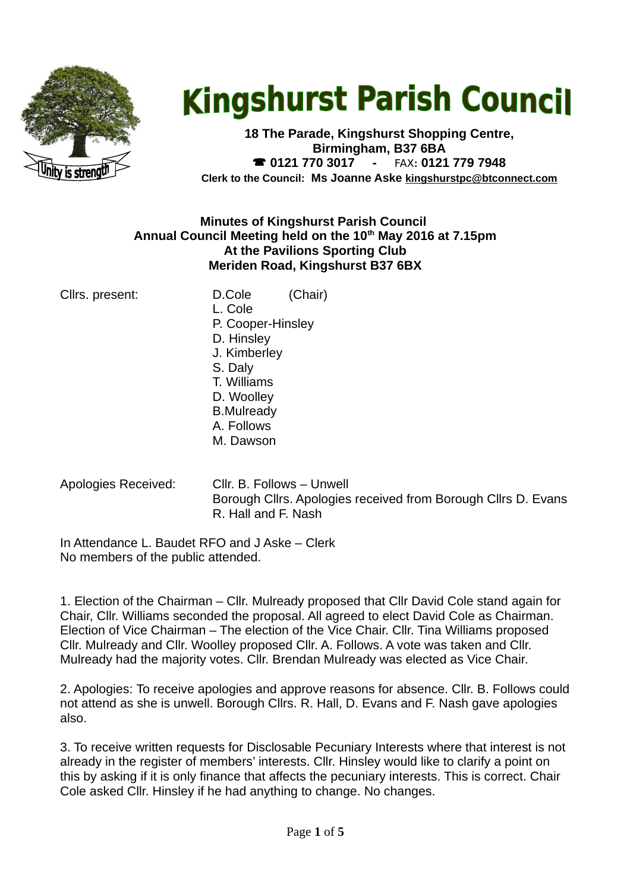

# **Kingshurst Parish Council**

**18 The Parade, Kingshurst Shopping Centre, Birmingham, B37 6BA 0121 770 3017 -** FAX**: 0121 779 7948 Clerk to the Council: Ms Joanne Aske [kingshurstpc@btconnect.com](mailto:kingshurstpc@btconnect.com)**

#### **Minutes of Kingshurst Parish Council Annual Council Meeting held on the 10th May 2016 at 7.15pm At the Pavilions Sporting Club Meriden Road, Kingshurst B37 6BX**

|  | Cllrs. present: |
|--|-----------------|
|--|-----------------|

- D.Cole (Chair) L. Cole P. Cooper-Hinsley D. Hinsley J. Kimberley S. Daly T. Williams D. Woolley B.Mulready A. Follows M. Dawson
- 

Apologies Received: Cllr. B. Follows – Unwell Borough Cllrs. Apologies received from Borough Cllrs D. Evans R. Hall and F. Nash

In Attendance L. Baudet RFO and J Aske – Clerk No members of the public attended.

1. Election of the Chairman – Cllr. Mulready proposed that Cllr David Cole stand again for Chair, Cllr. Williams seconded the proposal. All agreed to elect David Cole as Chairman. Election of Vice Chairman – The election of the Vice Chair. Cllr. Tina Williams proposed Cllr. Mulready and Cllr. Woolley proposed Cllr. A. Follows. A vote was taken and Cllr. Mulready had the majority votes. Cllr. Brendan Mulready was elected as Vice Chair.

2. Apologies: To receive apologies and approve reasons for absence. Cllr. B. Follows could not attend as she is unwell. Borough Cllrs. R. Hall, D. Evans and F. Nash gave apologies also.

3. To receive written requests for Disclosable Pecuniary Interests where that interest is not already in the register of members' interests. Cllr. Hinsley would like to clarify a point on this by asking if it is only finance that affects the pecuniary interests. This is correct. Chair Cole asked Cllr. Hinsley if he had anything to change. No changes.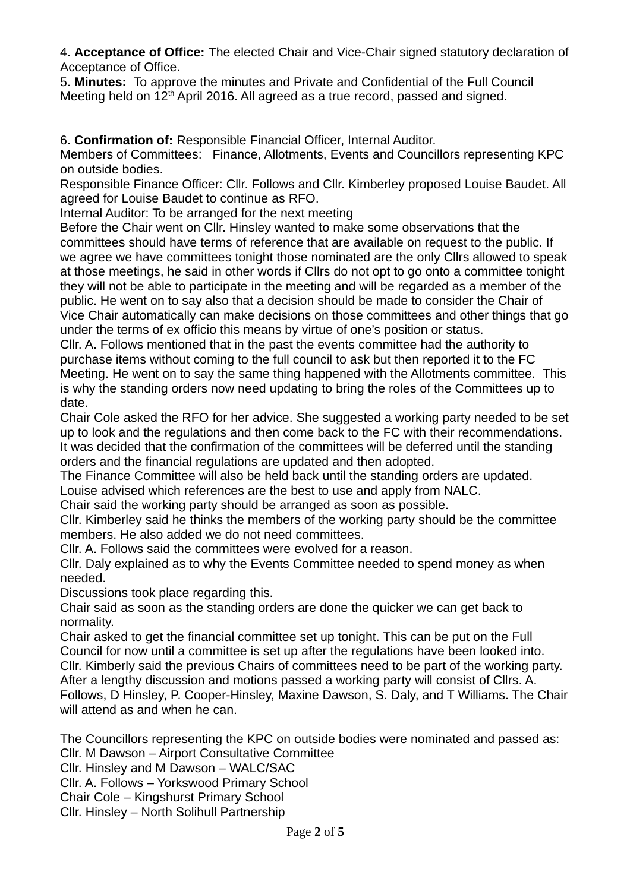4. **Acceptance of Office:** The elected Chair and Vice-Chair signed statutory declaration of Acceptance of Office.

5. **Minutes:** To approve the minutes and Private and Confidential of the Full Council Meeting held on 12<sup>th</sup> April 2016. All agreed as a true record, passed and signed.

6. **Confirmation of:** Responsible Financial Officer, Internal Auditor.

Members of Committees: Finance, Allotments, Events and Councillors representing KPC on outside bodies.

Responsible Finance Officer: Cllr. Follows and Cllr. Kimberley proposed Louise Baudet. All agreed for Louise Baudet to continue as RFO.

Internal Auditor: To be arranged for the next meeting

Before the Chair went on Cllr. Hinsley wanted to make some observations that the committees should have terms of reference that are available on request to the public. If we agree we have committees tonight those nominated are the only Cllrs allowed to speak at those meetings, he said in other words if Cllrs do not opt to go onto a committee tonight they will not be able to participate in the meeting and will be regarded as a member of the public. He went on to say also that a decision should be made to consider the Chair of Vice Chair automatically can make decisions on those committees and other things that go under the terms of ex officio this means by virtue of one's position or status.

Cllr. A. Follows mentioned that in the past the events committee had the authority to purchase items without coming to the full council to ask but then reported it to the FC Meeting. He went on to say the same thing happened with the Allotments committee. This is why the standing orders now need updating to bring the roles of the Committees up to date.

Chair Cole asked the RFO for her advice. She suggested a working party needed to be set up to look and the regulations and then come back to the FC with their recommendations. It was decided that the confirmation of the committees will be deferred until the standing orders and the financial regulations are updated and then adopted.

The Finance Committee will also be held back until the standing orders are updated. Louise advised which references are the best to use and apply from NALC.

Chair said the working party should be arranged as soon as possible.

Cllr. Kimberley said he thinks the members of the working party should be the committee members. He also added we do not need committees.

Cllr. A. Follows said the committees were evolved for a reason.

Cllr. Daly explained as to why the Events Committee needed to spend money as when needed.

Discussions took place regarding this.

Chair said as soon as the standing orders are done the quicker we can get back to normality.

Chair asked to get the financial committee set up tonight. This can be put on the Full Council for now until a committee is set up after the regulations have been looked into. Cllr. Kimberly said the previous Chairs of committees need to be part of the working party. After a lengthy discussion and motions passed a working party will consist of Cllrs. A. Follows, D Hinsley, P. Cooper-Hinsley, Maxine Dawson, S. Daly, and T Williams. The Chair will attend as and when he can.

The Councillors representing the KPC on outside bodies were nominated and passed as: Cllr. M Dawson – Airport Consultative Committee

Cllr. Hinsley and M Dawson – WALC/SAC

Cllr. A. Follows – Yorkswood Primary School

Chair Cole – Kingshurst Primary School

Cllr. Hinsley – North Solihull Partnership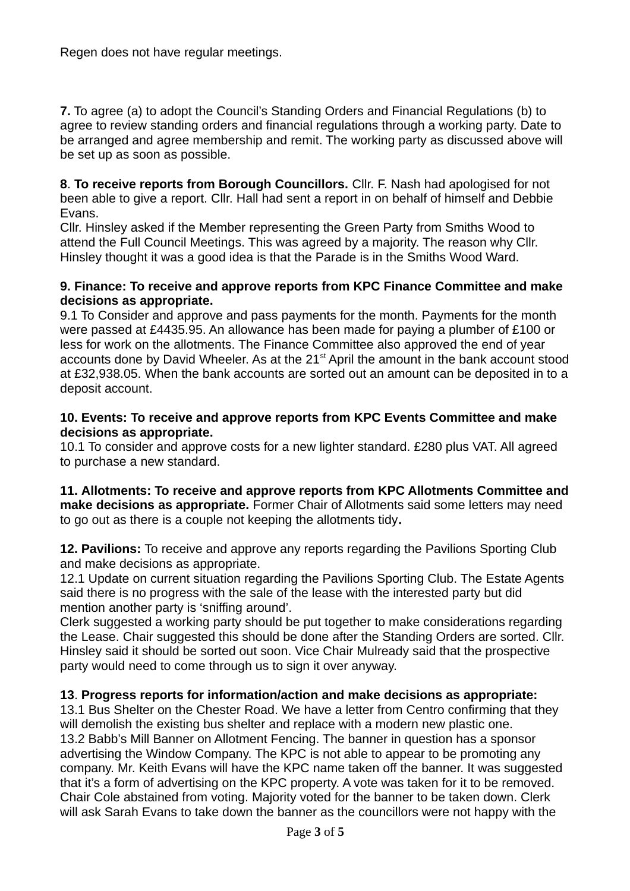Regen does not have regular meetings.

**7.** To agree (a) to adopt the Council's Standing Orders and Financial Regulations (b) to agree to review standing orders and financial regulations through a working party. Date to be arranged and agree membership and remit. The working party as discussed above will be set up as soon as possible.

**8**. **To receive reports from Borough Councillors.** Cllr. F. Nash had apologised for not been able to give a report. Cllr. Hall had sent a report in on behalf of himself and Debbie Evans.

Cllr. Hinsley asked if the Member representing the Green Party from Smiths Wood to attend the Full Council Meetings. This was agreed by a majority. The reason why Cllr. Hinsley thought it was a good idea is that the Parade is in the Smiths Wood Ward.

#### **9. Finance: To receive and approve reports from KPC Finance Committee and make decisions as appropriate.**

9.1 To Consider and approve and pass payments for the month. Payments for the month were passed at £4435.95. An allowance has been made for paying a plumber of £100 or less for work on the allotments. The Finance Committee also approved the end of year accounts done by David Wheeler. As at the 21<sup>st</sup> April the amount in the bank account stood at £32,938.05. When the bank accounts are sorted out an amount can be deposited in to a deposit account.

#### **10. Events: To receive and approve reports from KPC Events Committee and make decisions as appropriate.**

10.1 To consider and approve costs for a new lighter standard. £280 plus VAT. All agreed to purchase a new standard.

**11. Allotments: To receive and approve reports from KPC Allotments Committee and make decisions as appropriate.** Former Chair of Allotments said some letters may need to go out as there is a couple not keeping the allotments tidy**.** 

**12. Pavilions:** To receive and approve any reports regarding the Pavilions Sporting Club and make decisions as appropriate.

12.1 Update on current situation regarding the Pavilions Sporting Club. The Estate Agents said there is no progress with the sale of the lease with the interested party but did mention another party is 'sniffing around'.

Clerk suggested a working party should be put together to make considerations regarding the Lease. Chair suggested this should be done after the Standing Orders are sorted. Cllr. Hinsley said it should be sorted out soon. Vice Chair Mulready said that the prospective party would need to come through us to sign it over anyway.

# **13**. **Progress reports for information/action and make decisions as appropriate:**

13.1 Bus Shelter on the Chester Road. We have a letter from Centro confirming that they will demolish the existing bus shelter and replace with a modern new plastic one. 13.2 Babb's Mill Banner on Allotment Fencing. The banner in question has a sponsor advertising the Window Company. The KPC is not able to appear to be promoting any company. Mr. Keith Evans will have the KPC name taken off the banner. It was suggested that it's a form of advertising on the KPC property. A vote was taken for it to be removed. Chair Cole abstained from voting. Majority voted for the banner to be taken down. Clerk will ask Sarah Evans to take down the banner as the councillors were not happy with the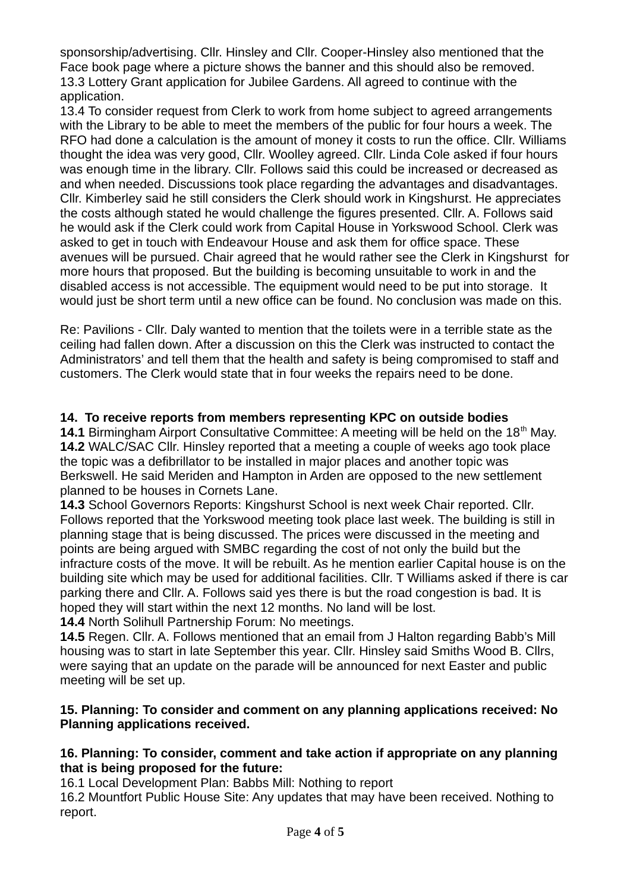sponsorship/advertising. Cllr. Hinsley and Cllr. Cooper-Hinsley also mentioned that the Face book page where a picture shows the banner and this should also be removed. 13.3 Lottery Grant application for Jubilee Gardens. All agreed to continue with the application.

13.4 To consider request from Clerk to work from home subject to agreed arrangements with the Library to be able to meet the members of the public for four hours a week. The RFO had done a calculation is the amount of money it costs to run the office. Cllr. Williams thought the idea was very good, Cllr. Woolley agreed. Cllr. Linda Cole asked if four hours was enough time in the library. Cllr. Follows said this could be increased or decreased as and when needed. Discussions took place regarding the advantages and disadvantages. Cllr. Kimberley said he still considers the Clerk should work in Kingshurst. He appreciates the costs although stated he would challenge the figures presented. Cllr. A. Follows said he would ask if the Clerk could work from Capital House in Yorkswood School. Clerk was asked to get in touch with Endeavour House and ask them for office space. These avenues will be pursued. Chair agreed that he would rather see the Clerk in Kingshurst for more hours that proposed. But the building is becoming unsuitable to work in and the disabled access is not accessible. The equipment would need to be put into storage. It would just be short term until a new office can be found. No conclusion was made on this.

Re: Pavilions - Cllr. Daly wanted to mention that the toilets were in a terrible state as the ceiling had fallen down. After a discussion on this the Clerk was instructed to contact the Administrators' and tell them that the health and safety is being compromised to staff and customers. The Clerk would state that in four weeks the repairs need to be done.

# **14. To receive reports from members representing KPC on outside bodies**

**14.1** Birmingham Airport Consultative Committee: A meeting will be held on the 18<sup>th</sup> May. **14.2** WALC/SAC Cllr. Hinsley reported that a meeting a couple of weeks ago took place the topic was a defibrillator to be installed in major places and another topic was Berkswell. He said Meriden and Hampton in Arden are opposed to the new settlement planned to be houses in Cornets Lane.

**14.3** School Governors Reports: Kingshurst School is next week Chair reported. Cllr. Follows reported that the Yorkswood meeting took place last week. The building is still in planning stage that is being discussed. The prices were discussed in the meeting and points are being argued with SMBC regarding the cost of not only the build but the infracture costs of the move. It will be rebuilt. As he mention earlier Capital house is on the building site which may be used for additional facilities. Cllr. T Williams asked if there is car parking there and Cllr. A. Follows said yes there is but the road congestion is bad. It is hoped they will start within the next 12 months. No land will be lost.

**14.4** North Solihull Partnership Forum: No meetings.

**14.5** Regen. Cllr. A. Follows mentioned that an email from J Halton regarding Babb's Mill housing was to start in late September this year. Cllr. Hinsley said Smiths Wood B. Cllrs, were saying that an update on the parade will be announced for next Easter and public meeting will be set up.

#### **15. Planning: To consider and comment on any planning applications received: No Planning applications received.**

# **16. Planning: To consider, comment and take action if appropriate on any planning that is being proposed for the future:**

16.1 Local Development Plan: Babbs Mill: Nothing to report

16.2 Mountfort Public House Site: Any updates that may have been received. Nothing to report.